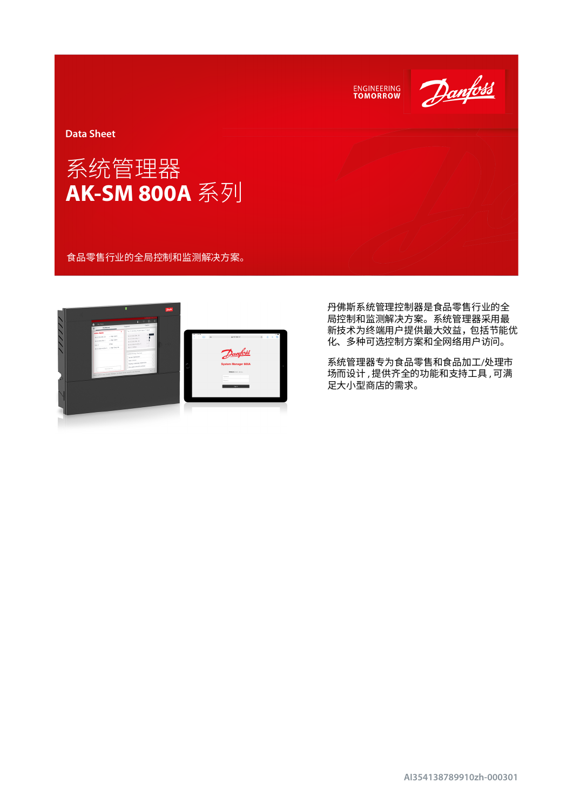



丹佛斯系统管理控制器是食品零售行业的全 局控制和监测解决方案。系统管理器采用最 新技术为终端用户提供最大效益,包括节能优 化、多种可选控制方案和全网络用户访问。

系统管理器专为食品零售和食品加工/处理市 场而设计 , 提供齐全的功能和支持工具 , 可满 足大小型商店的需求。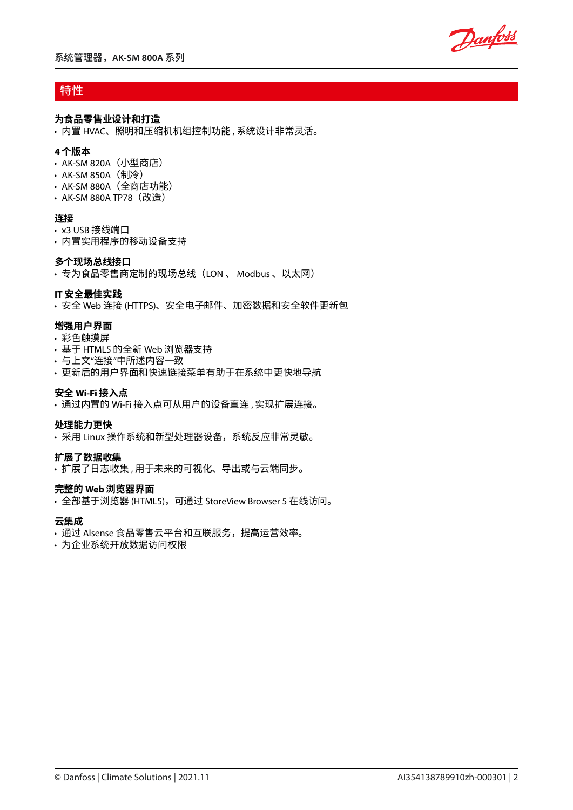Danfoss

# 特性

### **为食品零售业设计和打造**

• 内置 HVAC、照明和压缩机机组控制功能 , 系统设计非常灵活。

### **4 个版本**

- AK-SM 820A (小型商店)
- AK-SM 850A (制冷)
- AK-SM 880A(全商店功能)
- AK-SM 880A TP78 (改造)

### **连接**

- x3 USB 接线端口
- 内置实用程序的移动设备支持

### **多个现场总线接口**

• 专为食品零售商定制的现场总线(LON 、 Modbus 、以太网)

### **IT 安全最佳实践**

• 安全 Web 连接 (HTTPS)、安全电子邮件、加密数据和安全软件更新包

### **增强用户界面**

- 彩色触摸屏
- 基于 HTML5 的全新 Web 浏览器支持
- 与上文"连接"中所述内容一致
- 更新后的用户界面和快速链接菜单有助于在系统中更快地导航

### **安全 Wi-Fi 接入点**

• 通过内置的 Wi-Fi 接入点可从用户的设备直连 , 实现扩展连接。

### **处理能力更快**

• 采用 Linux 操作系统和新型处理器设备,系统反应非常灵敏。

### **扩展了数据收集**

• 扩展了日志收集 , 用于未来的可视化、导出或与云端同步。

### **完整的 Web 浏览器界面**

• 全部基于浏览器 (HTML5),可通过 StoreView Browser 5 在线访问。

### **云集成**

- 通过 Alsense 食品零售云平台和互联服务,提高运营效率。
- 为企业系统开放数据访问权限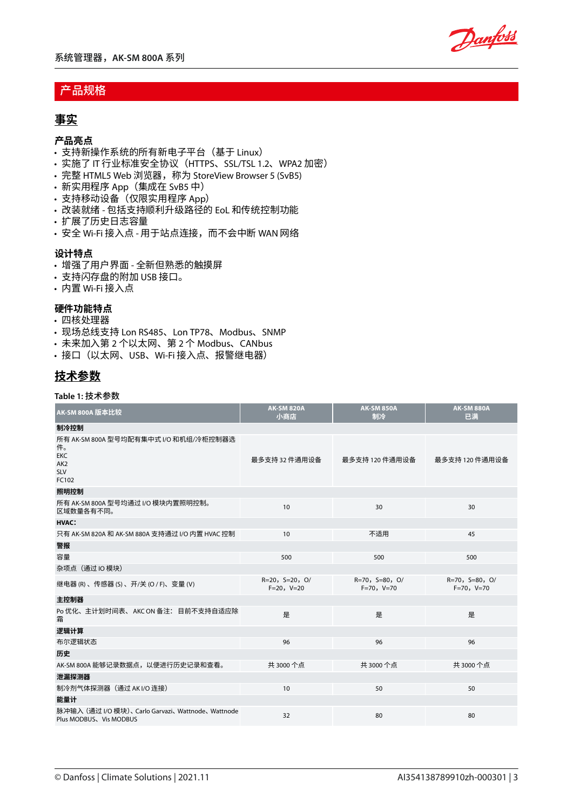Danfoss

# 产品规格

# **事实**

### **产品亮点**

- 支持新操作系统的所有新电子平台(基于 Linux)
- 实施了 IT 行业标准安全协议(HTTPS、SSL/TSL 1.2、WPA2 加密)
- 完整 HTML5 Web 浏览器,称为 StoreView Browser 5 (SvB5)
- 新实用程序 App(集成在 SvB5 中)
- 支持移动设备(仅限实用程序 App)
- 改装就绪 包括支持顺利升级路径的 EoL 和传统控制功能
- 扩展了历史日志容量
- 安全 Wi-Fi 接入点 用于站点连接,而不会中断 WAN 网络

### **设计特点**

- 增强了用户界面 全新但熟悉的触摸屏
- 支持闪存盘的附加 USB 接口。
- 内置 Wi-Fi 接入点

## **硬件功能特点**

- 四核处理器
- 现场总线支持 Lon RS485、Lon TP78、Modbus、SNMP
- 未来加入第 2 个以太网、第 2 个 Modbus、CANbus
- 接口(以太网、USB、Wi-Fi 接入点、报警继电器)

# **技术参数**

### **Table 1:** 技术参数

| AK-SM 800A 版本比较                                                                                     | <b>AK-SM 820A</b><br>小商店         | <b>AK-SM 850A</b><br>制冷          | <b>AK-SM 880A</b><br>已满          |
|-----------------------------------------------------------------------------------------------------|----------------------------------|----------------------------------|----------------------------------|
| 制冷控制                                                                                                |                                  |                                  |                                  |
| 所有 AK-SM 800A 型号均配有集中式 I/O 和机组/冷柜控制器选<br>件。<br><b>EKC</b><br>AK <sub>2</sub><br><b>SLV</b><br>FC102 | 最多支持 32 件通用设备                    | 最多支持 120 件通用设备                   | 最多支持 120 件通用设备                   |
| 照明控制                                                                                                |                                  |                                  |                                  |
| 所有 AK-SM 800A 型号均通过 I/O 模块内置照明控制。<br>区域数量各有不同。                                                      | 10                               | 30                               | 30                               |
| <b>HVAC:</b>                                                                                        |                                  |                                  |                                  |
| 只有 AK-SM 820A 和 AK-SM 880A 支持通过 I/O 内置 HVAC 控制                                                      | 10                               | 不适用                              | 45                               |
| 警报                                                                                                  |                                  |                                  |                                  |
| 容量                                                                                                  | 500                              | 500                              | 500                              |
| 杂项点 (通过IO模块)                                                                                        |                                  |                                  |                                  |
| 继电器(R)、传感器(S)、开/关(O/F)、变量(V)                                                                        | $R=20, S=20, O/$<br>$F=20, V=20$ | $R=70, S=80, O/$<br>$F=70, V=70$ | $R=70, S=80, O/$<br>$F=70, V=70$ |
| 主控制器                                                                                                |                                  |                                  |                                  |
| Po 优化、主计划时间表、 AKC ON 备注: 目前不支持自适应除<br>霜                                                             | 是                                | 是                                | 是                                |
| 逻辑计算                                                                                                |                                  |                                  |                                  |
| 布尔逻辑状态                                                                                              | 96                               | 96                               | 96                               |
| 历史                                                                                                  |                                  |                                  |                                  |
| AK-SM 800A 能够记录数据点,以便进行历史记录和查看。                                                                     | 共 3000个点                         | 共 3000个点                         | 共 3000个点                         |
| 泄漏探测器                                                                                               |                                  |                                  |                                  |
| 制冷剂气体探测器(通过 AKI/O 连接)                                                                               | 10                               | 50                               | 50                               |
| 能量计                                                                                                 |                                  |                                  |                                  |
| 脉冲输入 (通过 I/O 模块)、Carlo Garvazi、Wattnode、Wattnode<br>Plus MODBUS、Vis MODBUS                          | 32                               | 80                               | 80                               |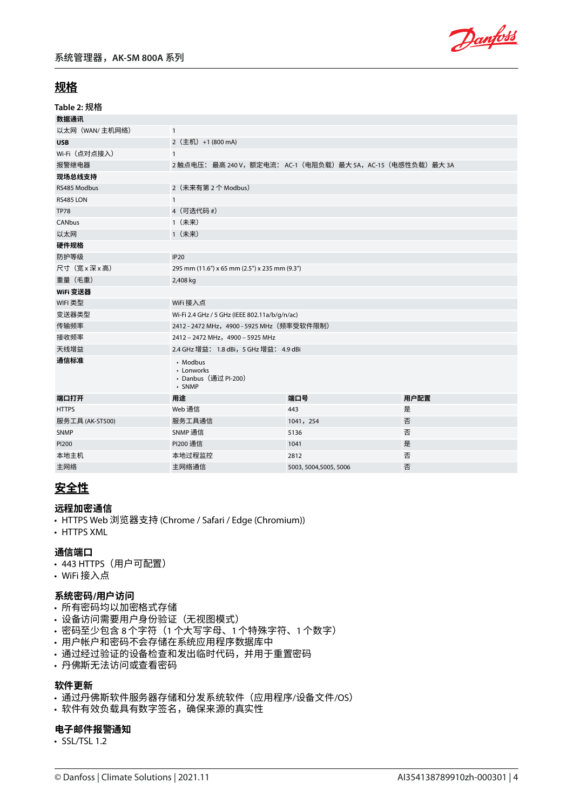

# **规格**

| Table 2: 规格     |                                                          |                                                        |      |  |  |
|-----------------|----------------------------------------------------------|--------------------------------------------------------|------|--|--|
| 数据通讯            |                                                          |                                                        |      |  |  |
| 以太网 (WAN/主机网络)  | $\mathbf{1}$                                             |                                                        |      |  |  |
| <b>USB</b>      | 2 (主机) +1 (800 mA)                                       |                                                        |      |  |  |
| Wi-Fi (点对点接入)   | $\mathbf{1}$                                             |                                                        |      |  |  |
| 报警继电器           |                                                          | 2触点电压:最高 240 V,额定电流: AC-1(电阻负载)最大 5A,AC-15(电感性负载)最大 3A |      |  |  |
| 现场总线支持          |                                                          |                                                        |      |  |  |
| RS485 Modbus    | 2 (未来有第2个 Modbus)                                        |                                                        |      |  |  |
| RS485 LON       | $\mathbf{1}$                                             |                                                        |      |  |  |
| <b>TP78</b>     | 4 (可选代码 #)                                               |                                                        |      |  |  |
| CANbus          | 1 (未来)                                                   |                                                        |      |  |  |
| 以太网             | 1 (未来)                                                   |                                                        |      |  |  |
| 硬件规格            |                                                          |                                                        |      |  |  |
| 防护等级            | <b>IP20</b>                                              |                                                        |      |  |  |
| 尺寸(宽x深x高)       | 295 mm (11.6") x 65 mm (2.5") x 235 mm (9.3")            |                                                        |      |  |  |
| 重量 (毛重)         | 2,408 kg                                                 |                                                        |      |  |  |
| WiFi 变送器        |                                                          |                                                        |      |  |  |
| WIFI 类型         | WiFi 接入点                                                 |                                                        |      |  |  |
| 变送器类型           | Wi-Fi 2.4 GHz / 5 GHz (IEEE 802.11a/b/g/n/ac)            |                                                        |      |  |  |
| 传输频率            | 2412 - 2472 MHz,4900 - 5925 MHz(频率受软件限制)                 |                                                        |      |  |  |
| 接收频率            | 2412 - 2472 MHz, 4900 - 5925 MHz                         |                                                        |      |  |  |
| 天线增益            | 2.4 GHz 增益: 1.8 dBi, 5 GHz 增益: 4.9 dBi                   |                                                        |      |  |  |
| 通信标准            | • Modbus<br>• Lonworks<br>• Danbus (通过 PI-200)<br>· SNMP |                                                        |      |  |  |
| 端口打开            | 用途                                                       | 端口号                                                    | 用户配置 |  |  |
| <b>HTTPS</b>    | Web 通信                                                   | 443                                                    | 是    |  |  |
| 服务工具 (AK-ST500) | 服务工具通信                                                   | 1041, 254                                              | 否    |  |  |
| <b>SNMP</b>     | SNMP 通信                                                  | 5136                                                   | 否    |  |  |
| PI200           | PI200 通信                                                 | 1041                                                   | 是    |  |  |
| 本地主机            | 本地过程监控                                                   | 2812                                                   | 否    |  |  |
| 主网络             | 主网络通信                                                    | 5003, 5004, 5005, 5006                                 | 否    |  |  |

# **安全性**

### **远程加密通信**

- HTTPS Web 浏览器支持 (Chrome / Safari / Edge (Chromium))
- HTTPS XML

## **通信端口**

- 443 HTTPS (用户可配置)
- WiFi 接入点

### **系统密码/用户访问**

- 所有密码均以加密格式存储
- 设备访问需要用户身份验证(无视图模式)
- 密码至少包含 8 个字符(1 个大写字母、1 个特殊字符、1 个数字)
- 用户帐户和密码不会存储在系统应用程序数据库中
- 通过经过验证的设备检查和发出临时代码,并用于重置密码
- 丹佛斯无法访问或查看密码

### **软件更新**

- 通过丹佛斯软件服务器存储和分发系统软件(应用程序/设备文件/OS)
- 软件有效负载具有数字签名,确保来源的真实性

### **电子邮件报警通知**

• SSL/TSL 1.2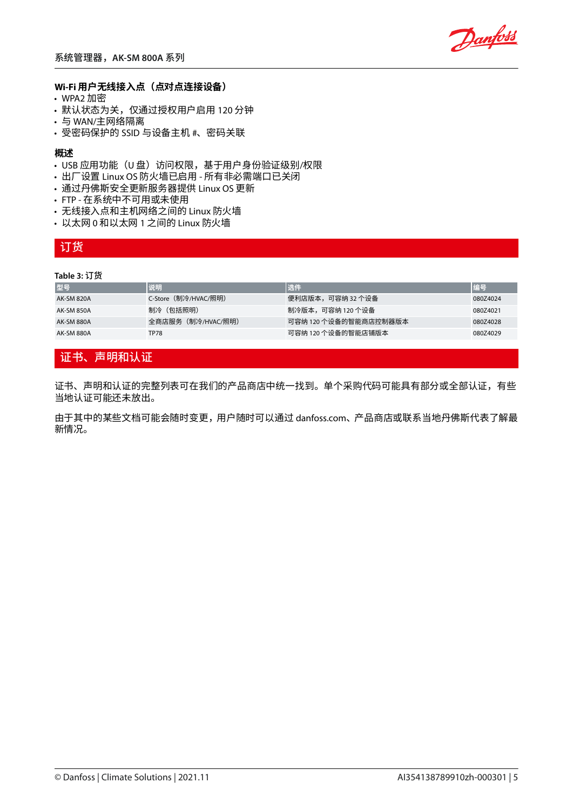

### **Wi-Fi 用户无线接入点(点对点连接设备)**

- WPA2 加密
- 默认状态为关,仅通过授权用户启用 120 分钟
- 与 WAN/主网络隔离
- 受密码保护的 SSID 与设备主机 #、密码关联

#### **概述**

- USB 应用功能(U 盘)访问权限,基于用户身份验证级别/权限
- 出厂设置 Linux OS 防火墙已启用 所有非必需端口已关闭
- 通过丹佛斯安全更新服务器提供 Linux OS 更新
- FTP 在系统中不可用或未使用
- 无线接入点和主机网络之间的 Linux 防火墙
- 以太网 0 和以太网 1 之间的 Linux 防火墙

## 订货

#### **Table 3:** 订货

| 型号         | 说明                  | 选件                    | 编号       |
|------------|---------------------|-----------------------|----------|
| AK-SM 820A | C-Store(制冷/HVAC/照明) | 便利店版本,可容纳 32 个设备      | 080Z4024 |
| AK-SM 850A | 制冷(包括照明)            | 制冷版本,可容纳 120 个设备      | 080Z4021 |
| AK-SM 880A | 全商店服务(制冷/HVAC/照明)   | 可容纳 120 个设备的智能商店控制器版本 | 080Z4028 |
| AK-SM 880A | TP78                | 可容纳 120 个设备的智能店铺版本    | 080Z4029 |

## 证书、声明和认证

证书、声明和认证的完整列表可在我们的产品商店中统一找到。单个采购代码可能具有部分或全部认证,有些 当地认证可能还未放出。

由于其中的某些文档可能会随时变更,用户随时可以通过 danfoss.com、产品商店或联系当地丹佛斯代表了解最 新情况。